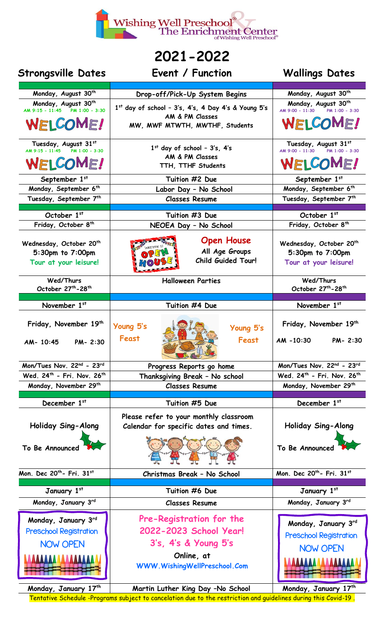

## **2021-2022**

| <b>Strongsville Dates</b>                              | Event / Function                                                                 | <b>Wallings Dates</b>                                     |
|--------------------------------------------------------|----------------------------------------------------------------------------------|-----------------------------------------------------------|
| Monday, August 30 <sup>th</sup>                        | Drop-off/Pick-Up System Begins                                                   | Monday, August 30th                                       |
| Monday, August 30th                                    |                                                                                  | Monday, August 30th                                       |
| PM 1:00 - 3:30<br>AM 9:15 - 11:45                      | $1st$ day of school - 3's, 4's, 4 Day 4's & Young 5's<br>AM & PM Classes         | AM 9:00 - 11:30<br>PM 1:00 - 3:30                         |
| WELCOME!                                               | MW, MWF MTWTH, MWTHF, Students                                                   | WELCOME!                                                  |
| Tuesday, August 31st<br>AM 9:15 - 11:45 PM 1:00 - 3:30 | $1st$ day of school - $3's$ , $4's$<br>AM & PM Classes                           | Tuesday, August 31st<br>AM 9:00 - 11:30<br>PM 1:00 - 3:30 |
| WELCOME!                                               | TTH, TTHF Students                                                               | WELCOME!                                                  |
| September 1st                                          | Tuition #2 Due                                                                   | September 1st                                             |
| Monday, September 6th                                  | Labor Day - No School                                                            | Monday, September 6th                                     |
| Tuesday, September 7th                                 | <b>Classes Resume</b>                                                            | Tuesday, September 7th                                    |
| October 1st                                            | Tuition #3 Due                                                                   | October 1st                                               |
| Friday, October 8th                                    | NEOEA Day - No School                                                            | Friday, October 8th                                       |
|                                                        |                                                                                  |                                                           |
| Wednesday, October 20 <sup>th</sup>                    | <b>Open House</b><br>Welcome to                                                  | Wednesday, October 20 <sup>th</sup>                       |
| 5:30pm to 7:00pm                                       | All Age Groups<br>OPEN                                                           | 5:30pm to 7:00pm                                          |
| Tour at your leisure!                                  | <b>Child Guided Tour!</b><br><b>70</b>                                           | Tour at your leisure!                                     |
| Wed/Thurs                                              | <b>Halloween Parties</b>                                                         | Wed/Thurs                                                 |
| October 27th-28th                                      |                                                                                  | October 27th-28th                                         |
|                                                        |                                                                                  |                                                           |
| November 1st                                           | Tuition #4 Due                                                                   | November 1st                                              |
| Friday, November 19 <sup>th</sup>                      | Young 5's<br>Young 5's                                                           | Friday, November 19th                                     |
| AM- 10:45<br>PM-2:30                                   | Feast<br>Feast                                                                   | AM -10:30<br>PM-2:30                                      |
| Mon/Tues Nov. 22nd - 23rd                              | Progress Reports go home                                                         | Mon/Tues Nov. 22nd - 23rd                                 |
| Wed. 24 <sup>th</sup> - Fri. Nov. 26 <sup>th</sup>     | Thanksgiving Break - No school                                                   | Wed. 24 <sup>th</sup> - Fri. Nov. 26 <sup>th</sup>        |
| Monday, November 29 <sup>th</sup>                      | <b>Classes Resume</b>                                                            | Monday, November 29 <sup>th</sup>                         |
| December 1st                                           | Tuition #5 Due                                                                   | December 1st                                              |
|                                                        |                                                                                  |                                                           |
| Holiday Sing-Along                                     | Please refer to your monthly classroom<br>Calendar for specific dates and times. | Holiday Sing-Along                                        |
|                                                        |                                                                                  |                                                           |
| To Be Announced                                        |                                                                                  | To Be Announced                                           |
| Mon. Dec 20 <sup>th</sup> - Fri. 31st                  | Christmas Break - No School                                                      | Mon. Dec 20 <sup>th</sup> - Fri. 31st                     |
| January 1st                                            | Tuition #6 Due                                                                   | January 1st                                               |
| Monday, January 3rd                                    | <b>Classes Resume</b>                                                            | Monday, January 3rd                                       |
|                                                        |                                                                                  |                                                           |
| Monday, January 3rd                                    | Pre-Registration for the                                                         | Monday, January 3rd                                       |
| <b>Preschool Registration</b>                          | 2022-2023 School Year!                                                           | <b>Preschool Registration</b>                             |
| <b>NOW OPEN</b>                                        | 3's, 4's & Young 5's                                                             | <b>NOW OPEN</b>                                           |
| <u>AAAAAA AAAAAAAAA</u>                                | Online, at<br>WWW.WishingWellPreschool.Com                                       | <u> AAAAAAAAA</u>                                         |
| $M$ ondov Tonuomi 17th                                 | Montin Luthon King Day No Cohool                                                 | $M$ ondo $v$ , Tonuom $i$ , 17th                          |

**Monday, January 17 th Martin Luther King Day –No School Monday, January 17** Tentative Schedule -Programs subject to cancelation due to the restriction and guidelines during this Covid-19 .